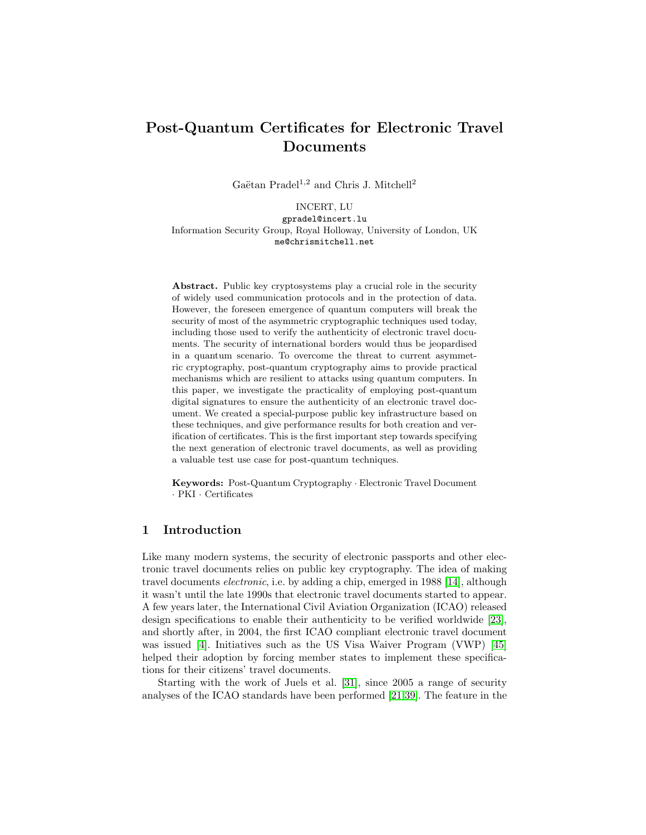# Post-Quantum Certificates for Electronic Travel Documents

Gaëtan Pradel<sup>1,2</sup> and Chris J. Mitchell<sup>2</sup>

INCERT, LU gpradel@incert.lu Information Security Group, Royal Holloway, University of London, UK me@chrismitchell.net

Abstract. Public key cryptosystems play a crucial role in the security of widely used communication protocols and in the protection of data. However, the foreseen emergence of quantum computers will break the security of most of the asymmetric cryptographic techniques used today, including those used to verify the authenticity of electronic travel documents. The security of international borders would thus be jeopardised in a quantum scenario. To overcome the threat to current asymmetric cryptography, post-quantum cryptography aims to provide practical mechanisms which are resilient to attacks using quantum computers. In this paper, we investigate the practicality of employing post-quantum digital signatures to ensure the authenticity of an electronic travel document. We created a special-purpose public key infrastructure based on these techniques, and give performance results for both creation and verification of certificates. This is the first important step towards specifying the next generation of electronic travel documents, as well as providing a valuable test use case for post-quantum techniques.

Keywords: Post-Quantum Cryptography · Electronic Travel Document · PKI · Certificates

# <span id="page-0-0"></span>1 Introduction

Like many modern systems, the security of electronic passports and other electronic travel documents relies on public key cryptography. The idea of making travel documents electronic, i.e. by adding a chip, emerged in 1988 [\[14\]](#page-16-0), although it wasn't until the late 1990s that electronic travel documents started to appear. A few years later, the International Civil Aviation Organization (ICAO) released design specifications to enable their authenticity to be verified worldwide [\[23\]](#page-16-1), and shortly after, in 2004, the first ICAO compliant electronic travel document was issued [\[4\]](#page-15-0). Initiatives such as the US Visa Waiver Program (VWP) [\[45\]](#page-17-0) helped their adoption by forcing member states to implement these specifications for their citizens' travel documents.

Starting with the work of Juels et al. [\[31\]](#page-17-1), since 2005 a range of security analyses of the ICAO standards have been performed [\[21,](#page-16-2)[39\]](#page-17-2). The feature in the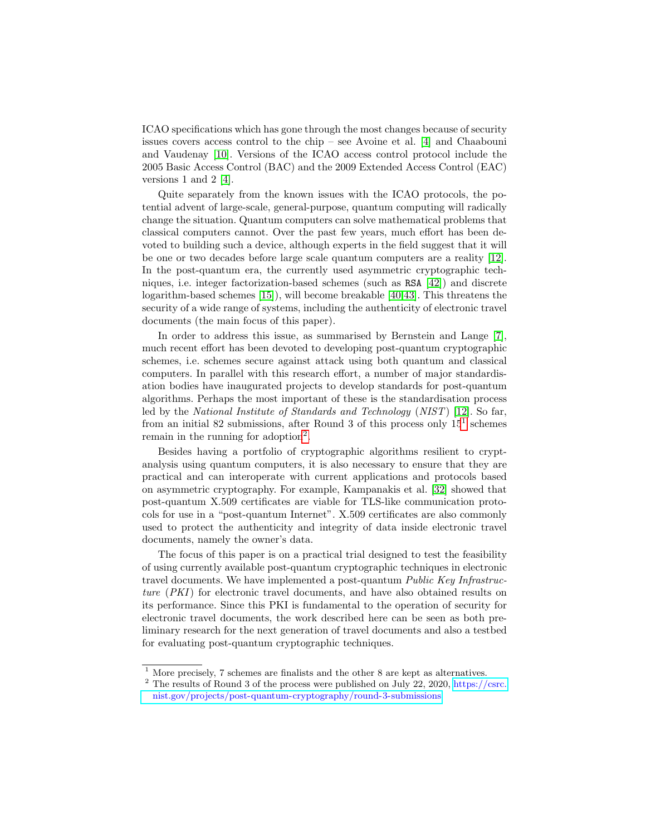ICAO specifications which has gone through the most changes because of security issues covers access control to the chip – see Avoine et al. [\[4\]](#page-15-0) and Chaabouni and Vaudenay [\[10\]](#page-15-1). Versions of the ICAO access control protocol include the 2005 Basic Access Control (BAC) and the 2009 Extended Access Control (EAC) versions 1 and 2 [\[4\]](#page-15-0).

Quite separately from the known issues with the ICAO protocols, the potential advent of large-scale, general-purpose, quantum computing will radically change the situation. Quantum computers can solve mathematical problems that classical computers cannot. Over the past few years, much effort has been devoted to building such a device, although experts in the field suggest that it will be one or two decades before large scale quantum computers are a reality [\[12\]](#page-16-3). In the post-quantum era, the currently used asymmetric cryptographic techniques, i.e. integer factorization-based schemes (such as RSA [\[42\]](#page-17-3)) and discrete logarithm-based schemes [\[15\]](#page-16-4)), will become breakable [\[40,](#page-17-4)[43\]](#page-17-5). This threatens the security of a wide range of systems, including the authenticity of electronic travel documents (the main focus of this paper).

In order to address this issue, as summarised by Bernstein and Lange [\[7\]](#page-15-2), much recent effort has been devoted to developing post-quantum cryptographic schemes, i.e. schemes secure against attack using both quantum and classical computers. In parallel with this research effort, a number of major standardisation bodies have inaugurated projects to develop standards for post-quantum algorithms. Perhaps the most important of these is the standardisation process led by the National Institute of Standards and Technology (NIST) [\[12\]](#page-16-3). So far, from an initial 82 submissions, after Round 3 of this process only  $15<sup>1</sup>$  $15<sup>1</sup>$  schemes remain in the running for adoption<sup>[2](#page-1-1)</sup>.

Besides having a portfolio of cryptographic algorithms resilient to cryptanalysis using quantum computers, it is also necessary to ensure that they are practical and can interoperate with current applications and protocols based on asymmetric cryptography. For example, Kampanakis et al. [\[32\]](#page-17-6) showed that post-quantum X.509 certificates are viable for TLS-like communication protocols for use in a "post-quantum Internet". X.509 certificates are also commonly used to protect the authenticity and integrity of data inside electronic travel documents, namely the owner's data.

The focus of this paper is on a practical trial designed to test the feasibility of using currently available post-quantum cryptographic techniques in electronic travel documents. We have implemented a post-quantum Public Key Infrastructure (PKI) for electronic travel documents, and have also obtained results on its performance. Since this PKI is fundamental to the operation of security for electronic travel documents, the work described here can be seen as both preliminary research for the next generation of travel documents and also a testbed for evaluating post-quantum cryptographic techniques.

<span id="page-1-0"></span><sup>&</sup>lt;sup>1</sup> More precisely, 7 schemes are finalists and the other 8 are kept as alternatives.

<span id="page-1-1"></span><sup>2</sup> The results of Round 3 of the process were published on July 22, 2020, [https://csrc.](https://csrc.nist.gov/projects/post-quantum-cryptography/round-3-submissions) [nist.gov/projects/post-quantum-cryptography/round-3-submissions](https://csrc.nist.gov/projects/post-quantum-cryptography/round-3-submissions)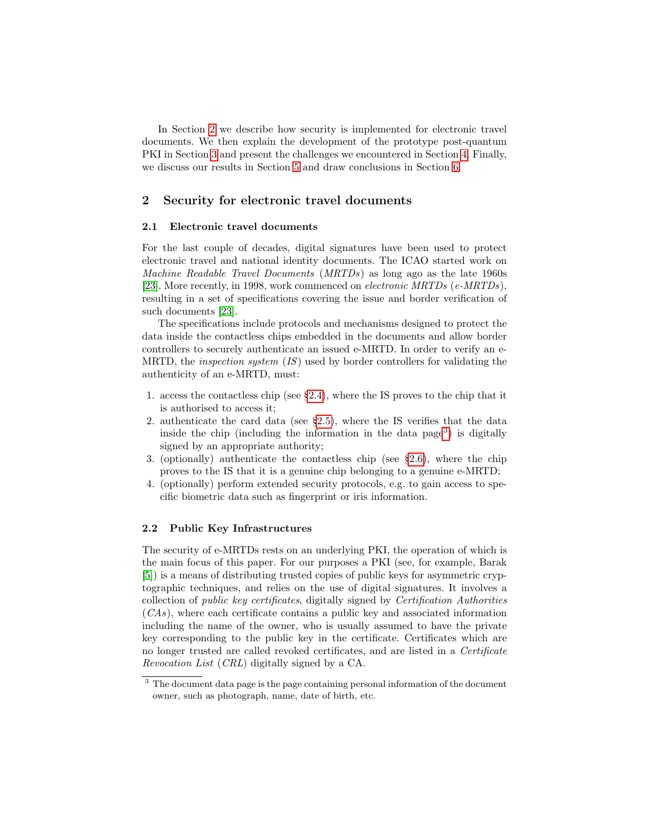In Section [2](#page-2-0) we describe how security is implemented for electronic travel documents. We then explain the development of the prototype post-quantum PKI in Section [3](#page-6-0) and present the challenges we encountered in Section [4.](#page-8-0) Finally, we discuss our results in Section [5](#page-9-0) and draw conclusions in Section [6.](#page-14-0)

# <span id="page-2-0"></span>2 Security for electronic travel documents

## 2.1 Electronic travel documents

For the last couple of decades, digital signatures have been used to protect electronic travel and national identity documents. The ICAO started work on Machine Readable Travel Documents (MRTDs) as long ago as the late 1960s [\[23\]](#page-16-1). More recently, in 1998, work commenced on electronic MRTDs (e-MRTDs), resulting in a set of specifications covering the issue and border verification of such documents [\[23\]](#page-16-1).

The specifications include protocols and mechanisms designed to protect the data inside the contactless chips embedded in the documents and allow border controllers to securely authenticate an issued e-MRTD. In order to verify an e-MRTD, the *inspection system*  $(IS)$  used by border controllers for validating the authenticity of an e-MRTD, must:

- 1. access the contactless chip (see §[2.4\)](#page-4-0), where the IS proves to the chip that it is authorised to access it;
- 2. authenticate the card data (see §[2.5\)](#page-4-1), where the IS verifies that the data inside the chip (including the information in the data page<sup>[3](#page-2-1)</sup>) is digitally signed by an appropriate authority;
- 3. (optionally) authenticate the contactless chip (see  $\S 2.6$ ), where the chip proves to the IS that it is a genuine chip belonging to a genuine e-MRTD;
- 4. (optionally) perform extended security protocols, e.g. to gain access to specific biometric data such as fingerprint or iris information.

## 2.2 Public Key Infrastructures

The security of e-MRTDs rests on an underlying PKI, the operation of which is the main focus of this paper. For our purposes a PKI (see, for example, Barak [\[5\]](#page-15-3)) is a means of distributing trusted copies of public keys for asymmetric cryptographic techniques, and relies on the use of digital signatures. It involves a collection of public key certificates, digitally signed by Certification Authorities (CAs), where each certificate contains a public key and associated information including the name of the owner, who is usually assumed to have the private key corresponding to the public key in the certificate. Certificates which are no longer trusted are called revoked certificates, and are listed in a Certificate Revocation List (CRL) digitally signed by a CA.

<span id="page-2-1"></span><sup>&</sup>lt;sup>3</sup> The document data page is the page containing personal information of the document owner, such as photograph, name, date of birth, etc.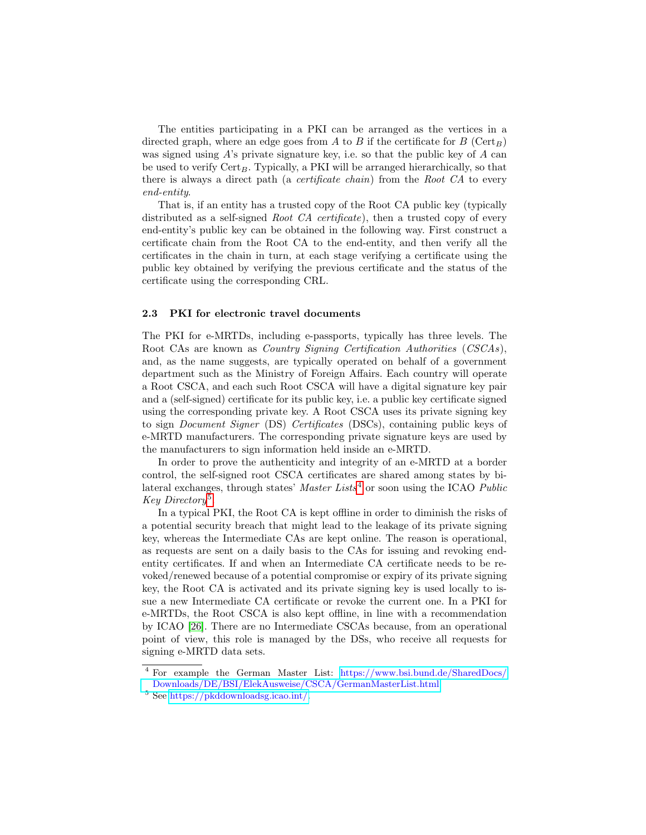The entities participating in a PKI can be arranged as the vertices in a directed graph, where an edge goes from A to B if the certificate for B (Cert<sub>B</sub>) was signed using  $A$ 's private signature key, i.e. so that the public key of  $A$  can be used to verify  $Cert_B$ . Typically, a PKI will be arranged hierarchically, so that there is always a direct path (a certificate chain) from the Root CA to every end-entity.

That is, if an entity has a trusted copy of the Root CA public key (typically distributed as a self-signed *Root CA certificate*), then a trusted copy of every end-entity's public key can be obtained in the following way. First construct a certificate chain from the Root CA to the end-entity, and then verify all the certificates in the chain in turn, at each stage verifying a certificate using the public key obtained by verifying the previous certificate and the status of the certificate using the corresponding CRL.

#### <span id="page-3-2"></span>2.3 PKI for electronic travel documents

The PKI for e-MRTDs, including e-passports, typically has three levels. The Root CAs are known as Country Signing Certification Authorities (CSCAs), and, as the name suggests, are typically operated on behalf of a government department such as the Ministry of Foreign Affairs. Each country will operate a Root CSCA, and each such Root CSCA will have a digital signature key pair and a (self-signed) certificate for its public key, i.e. a public key certificate signed using the corresponding private key. A Root CSCA uses its private signing key to sign Document Signer (DS) Certificates (DSCs), containing public keys of e-MRTD manufacturers. The corresponding private signature keys are used by the manufacturers to sign information held inside an e-MRTD.

In order to prove the authenticity and integrity of an e-MRTD at a border control, the self-signed root CSCA certificates are shared among states by bi-lateral exchanges, through states' Master Lists<sup>[4](#page-3-0)</sup> or soon using the ICAO Public Key Directory[5](#page-3-1) .

In a typical PKI, the Root CA is kept offline in order to diminish the risks of a potential security breach that might lead to the leakage of its private signing key, whereas the Intermediate CAs are kept online. The reason is operational, as requests are sent on a daily basis to the CAs for issuing and revoking endentity certificates. If and when an Intermediate CA certificate needs to be revoked/renewed because of a potential compromise or expiry of its private signing key, the Root CA is activated and its private signing key is used locally to issue a new Intermediate CA certificate or revoke the current one. In a PKI for e-MRTDs, the Root CSCA is also kept offline, in line with a recommendation by ICAO [\[26\]](#page-16-5). There are no Intermediate CSCAs because, from an operational point of view, this role is managed by the DSs, who receive all requests for signing e-MRTD data sets.

<span id="page-3-0"></span><sup>4</sup> For example the German Master List: [https://www.bsi.bund.de/SharedDocs/](https://www.bsi.bund.de/SharedDocs/Downloads/DE/BSI/ElekAusweise/CSCA/GermanMasterList.html) [Downloads/DE/BSI/ElekAusweise/CSCA/GermanMasterList.html.](https://www.bsi.bund.de/SharedDocs/Downloads/DE/BSI/ElekAusweise/CSCA/GermanMasterList.html)

<span id="page-3-1"></span><sup>5</sup> See [https://pkddownloadsg.icao.int/.](https://pkddownloadsg.icao.int/)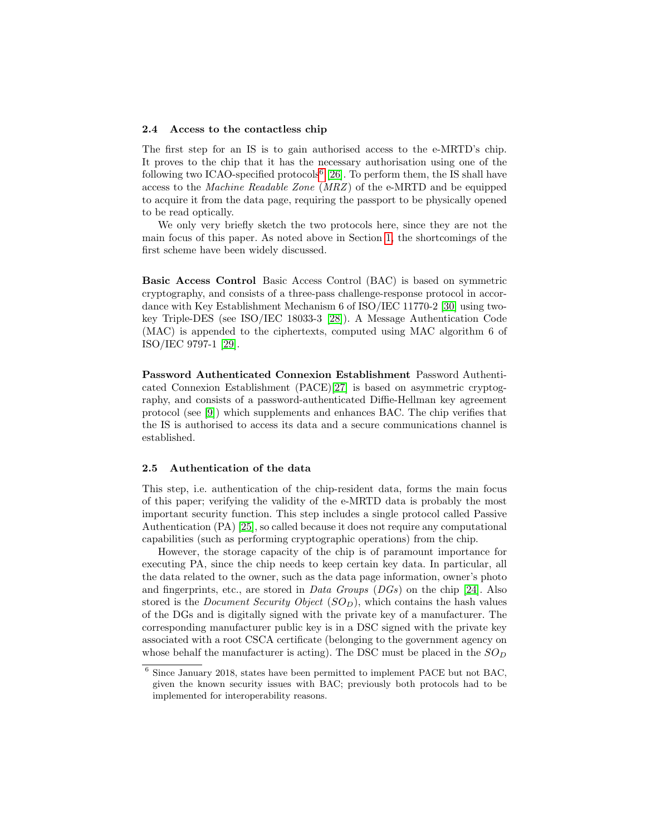#### <span id="page-4-0"></span>2.4 Access to the contactless chip

The first step for an IS is to gain authorised access to the e-MRTD's chip. It proves to the chip that it has the necessary authorisation using one of the following two ICAO-specified protocols<sup>[6](#page-4-2)</sup> [\[26\]](#page-16-5). To perform them, the IS shall have access to the Machine Readable Zone (MRZ) of the e-MRTD and be equipped to acquire it from the data page, requiring the passport to be physically opened to be read optically.

We only very briefly sketch the two protocols here, since they are not the main focus of this paper. As noted above in Section [1,](#page-0-0) the shortcomings of the first scheme have been widely discussed.

Basic Access Control Basic Access Control (BAC) is based on symmetric cryptography, and consists of a three-pass challenge-response protocol in accordance with Key Establishment Mechanism 6 of ISO/IEC 11770-2 [\[30\]](#page-17-7) using twokey Triple-DES (see ISO/IEC 18033-3 [\[28\]](#page-17-8)). A Message Authentication Code (MAC) is appended to the ciphertexts, computed using MAC algorithm 6 of ISO/IEC 9797-1 [\[29\]](#page-17-9).

Password Authenticated Connexion Establishment Password Authenticated Connexion Establishment (PACE)[\[27\]](#page-16-6) is based on asymmetric cryptography, and consists of a password-authenticated Diffie-Hellman key agreement protocol (see [\[9\]](#page-15-4)) which supplements and enhances BAC. The chip verifies that the IS is authorised to access its data and a secure communications channel is established.

### <span id="page-4-1"></span>2.5 Authentication of the data

This step, i.e. authentication of the chip-resident data, forms the main focus of this paper; verifying the validity of the e-MRTD data is probably the most important security function. This step includes a single protocol called Passive Authentication (PA) [\[25\]](#page-16-7), so called because it does not require any computational capabilities (such as performing cryptographic operations) from the chip.

However, the storage capacity of the chip is of paramount importance for executing PA, since the chip needs to keep certain key data. In particular, all the data related to the owner, such as the data page information, owner's photo and fingerprints, etc., are stored in *Data Groups* ( $DGs$ ) on the chip [\[24\]](#page-16-8). Also stored is the *Document Security Object*  $(SO<sub>D</sub>)$ , which contains the hash values of the DGs and is digitally signed with the private key of a manufacturer. The corresponding manufacturer public key is in a DSC signed with the private key associated with a root CSCA certificate (belonging to the government agency on whose behalf the manufacturer is acting). The DSC must be placed in the  $SO<sub>D</sub>$ 

<span id="page-4-2"></span><sup>6</sup> Since January 2018, states have been permitted to implement PACE but not BAC, given the known security issues with BAC; previously both protocols had to be implemented for interoperability reasons.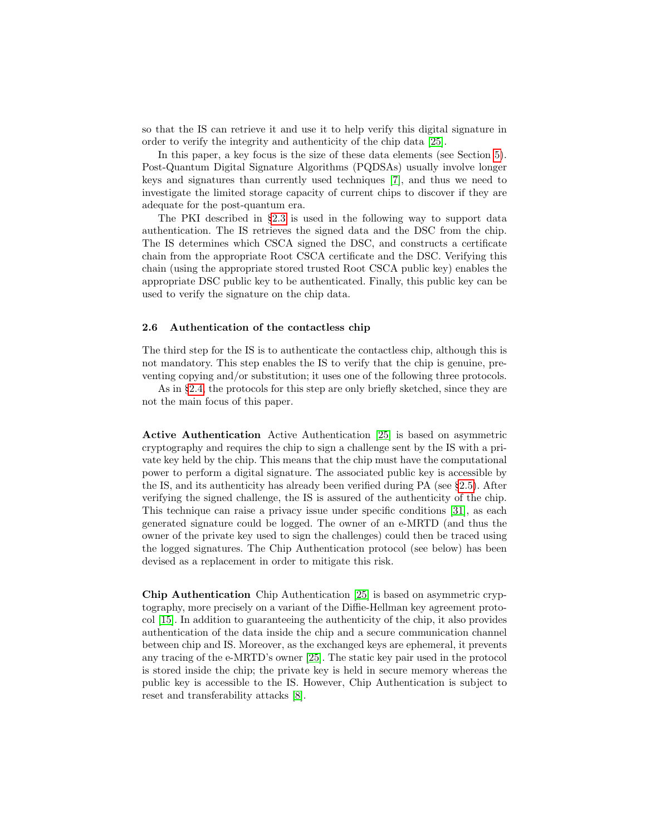so that the IS can retrieve it and use it to help verify this digital signature in order to verify the integrity and authenticity of the chip data [\[25\]](#page-16-7).

In this paper, a key focus is the size of these data elements (see Section [5\)](#page-9-0). Post-Quantum Digital Signature Algorithms (PQDSAs) usually involve longer keys and signatures than currently used techniques [\[7\]](#page-15-2), and thus we need to investigate the limited storage capacity of current chips to discover if they are adequate for the post-quantum era.

The PKI described in §[2.3](#page-3-2) is used in the following way to support data authentication. The IS retrieves the signed data and the DSC from the chip. The IS determines which CSCA signed the DSC, and constructs a certificate chain from the appropriate Root CSCA certificate and the DSC. Verifying this chain (using the appropriate stored trusted Root CSCA public key) enables the appropriate DSC public key to be authenticated. Finally, this public key can be used to verify the signature on the chip data.

### <span id="page-5-0"></span>2.6 Authentication of the contactless chip

The third step for the IS is to authenticate the contactless chip, although this is not mandatory. This step enables the IS to verify that the chip is genuine, preventing copying and/or substitution; it uses one of the following three protocols.

As in §[2.4,](#page-4-0) the protocols for this step are only briefly sketched, since they are not the main focus of this paper.

Active Authentication Active Authentication [\[25\]](#page-16-7) is based on asymmetric cryptography and requires the chip to sign a challenge sent by the IS with a private key held by the chip. This means that the chip must have the computational power to perform a digital signature. The associated public key is accessible by the IS, and its authenticity has already been verified during PA (see §[2.5\)](#page-4-1). After verifying the signed challenge, the IS is assured of the authenticity of the chip. This technique can raise a privacy issue under specific conditions [\[31\]](#page-17-1), as each generated signature could be logged. The owner of an e-MRTD (and thus the owner of the private key used to sign the challenges) could then be traced using the logged signatures. The Chip Authentication protocol (see below) has been devised as a replacement in order to mitigate this risk.

Chip Authentication Chip Authentication [\[25\]](#page-16-7) is based on asymmetric cryptography, more precisely on a variant of the Diffie-Hellman key agreement protocol [\[15\]](#page-16-4). In addition to guaranteeing the authenticity of the chip, it also provides authentication of the data inside the chip and a secure communication channel between chip and IS. Moreover, as the exchanged keys are ephemeral, it prevents any tracing of the e-MRTD's owner [\[25\]](#page-16-7). The static key pair used in the protocol is stored inside the chip; the private key is held in secure memory whereas the public key is accessible to the IS. However, Chip Authentication is subject to reset and transferability attacks [\[8\]](#page-15-5).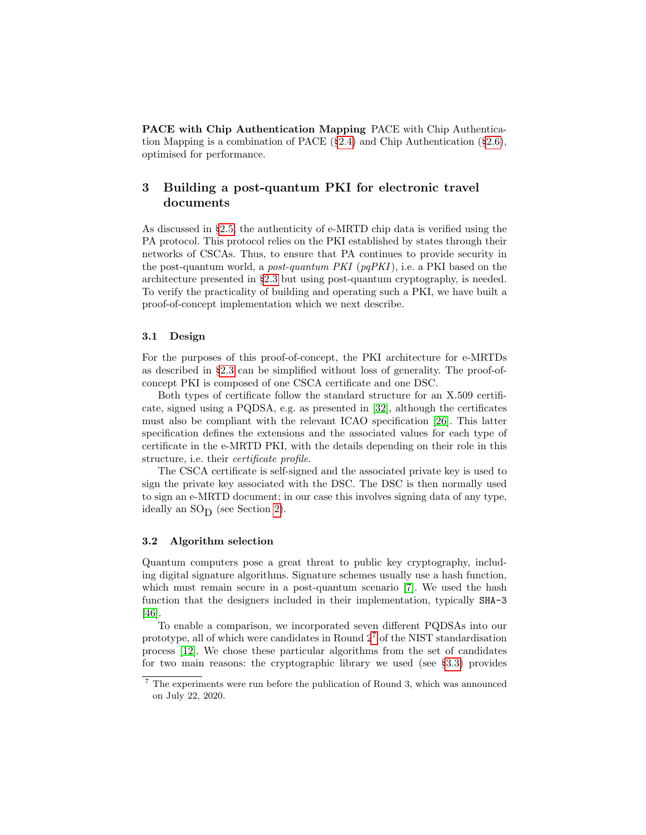PACE with Chip Authentication Mapping PACE with Chip Authentication Mapping is a combination of PACE  $(\S 2.4)$  $(\S 2.4)$  and Chip Authentication  $(\S 2.6)$  $(\S 2.6)$ , optimised for performance.

# <span id="page-6-0"></span>3 Building a post-quantum PKI for electronic travel documents

As discussed in §[2.5,](#page-4-1) the authenticity of e-MRTD chip data is verified using the PA protocol. This protocol relies on the PKI established by states through their networks of CSCAs. Thus, to ensure that PA continues to provide security in the post-quantum world, a *post-quantum PKI* ( $pqPKI$ ), i.e. a PKI based on the architecture presented in §[2.3](#page-3-2) but using post-quantum cryptography, is needed. To verify the practicality of building and operating such a PKI, we have built a proof-of-concept implementation which we next describe.

## <span id="page-6-2"></span>3.1 Design

For the purposes of this proof-of-concept, the PKI architecture for e-MRTDs as described in §[2.3](#page-3-2) can be simplified without loss of generality. The proof-ofconcept PKI is composed of one CSCA certificate and one DSC.

Both types of certificate follow the standard structure for an X.509 certificate, signed using a PQDSA, e.g. as presented in [\[32\]](#page-17-6), although the certificates must also be compliant with the relevant ICAO specification [\[26\]](#page-16-5). This latter specification defines the extensions and the associated values for each type of certificate in the e-MRTD PKI, with the details depending on their role in this structure, i.e. their *certificate profile*.

The CSCA certificate is self-signed and the associated private key is used to sign the private key associated with the DSC. The DSC is then normally used to sign an e-MRTD document; in our case this involves signing data of any type, ideally an  $SO_{\text{D}}$  (see Section [2\)](#page-2-0).

## 3.2 Algorithm selection

Quantum computers pose a great threat to public key cryptography, including digital signature algorithms. Signature schemes usually use a hash function, which must remain secure in a post-quantum scenario [\[7\]](#page-15-2). We used the hash function that the designers included in their implementation, typically SHA-3 [\[46\]](#page-17-10).

To enable a comparison, we incorporated seven different PQDSAs into our prototype, all of which were candidates in Round  $2<sup>7</sup>$  $2<sup>7</sup>$  $2<sup>7</sup>$  of the NIST standardisation process [\[12\]](#page-16-3). We chose these particular algorithms from the set of candidates for two main reasons: the cryptographic library we used (see §[3.3\)](#page-7-0) provides

<span id="page-6-1"></span> $7$  The experiments were run before the publication of Round 3, which was announced on July 22, 2020.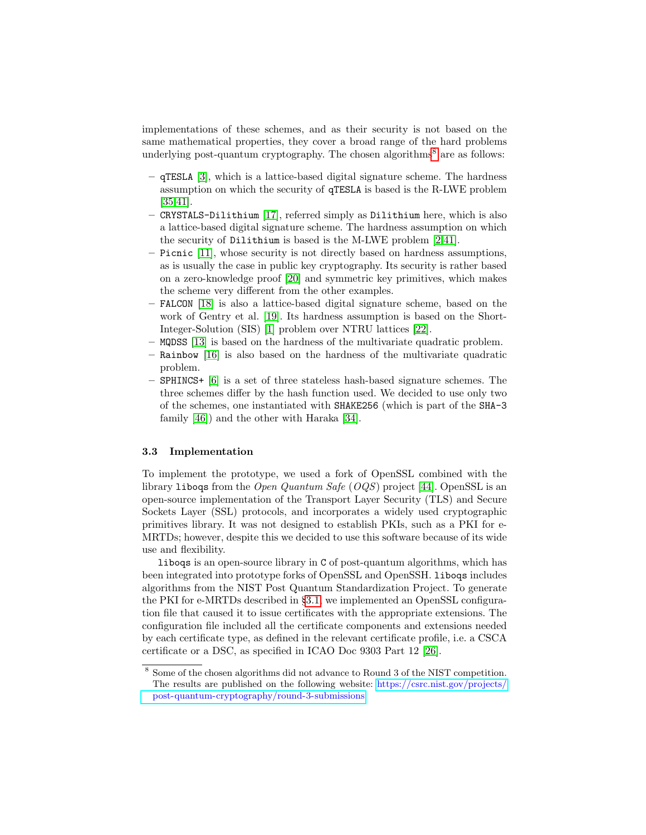implementations of these schemes, and as their security is not based on the same mathematical properties, they cover a broad range of the hard problems underlying post-quantum cryptography. The chosen algorithms<sup>[8](#page-7-1)</sup> are as follows:

- qTESLA [\[3\]](#page-15-6), which is a lattice-based digital signature scheme. The hardness assumption on which the security of qTESLA is based is the R-LWE problem [\[35](#page-17-11)[,41\]](#page-17-12).
- CRYSTALS-Dilithium [\[17\]](#page-16-9), referred simply as Dilithium here, which is also a lattice-based digital signature scheme. The hardness assumption on which the security of Dilithium is based is the M-LWE problem [\[2,](#page-15-7)[41\]](#page-17-12).
- Picnic [\[11\]](#page-16-10), whose security is not directly based on hardness assumptions, as is usually the case in public key cryptography. Its security is rather based on a zero-knowledge proof [\[20\]](#page-16-11) and symmetric key primitives, which makes the scheme very different from the other examples.
- FALCON [\[18\]](#page-16-12) is also a lattice-based digital signature scheme, based on the work of Gentry et al. [\[19\]](#page-16-13). Its hardness assumption is based on the Short-Integer-Solution (SIS) [\[1\]](#page-15-8) problem over NTRU lattices [\[22\]](#page-16-14).
- MQDSS [\[13\]](#page-16-15) is based on the hardness of the multivariate quadratic problem.
- Rainbow [\[16\]](#page-16-16) is also based on the hardness of the multivariate quadratic problem.
- SPHINCS+ [\[6\]](#page-15-9) is a set of three stateless hash-based signature schemes. The three schemes differ by the hash function used. We decided to use only two of the schemes, one instantiated with SHAKE256 (which is part of the SHA-3 family [\[46\]](#page-17-10)) and the other with Haraka [\[34\]](#page-17-13).

## <span id="page-7-0"></span>3.3 Implementation

To implement the prototype, we used a fork of OpenSSL combined with the library liboqs from the *Open Quantum Safe* (*OQS*) project [\[44\]](#page-17-14). OpenSSL is an open-source implementation of the Transport Layer Security (TLS) and Secure Sockets Layer (SSL) protocols, and incorporates a widely used cryptographic primitives library. It was not designed to establish PKIs, such as a PKI for e-MRTDs; however, despite this we decided to use this software because of its wide use and flexibility.

liboqs is an open-source library in C of post-quantum algorithms, which has been integrated into prototype forks of OpenSSL and OpenSSH. liboqs includes algorithms from the NIST Post Quantum Standardization Project. To generate the PKI for e-MRTDs described in §[3.1,](#page-6-2) we implemented an OpenSSL configuration file that caused it to issue certificates with the appropriate extensions. The configuration file included all the certificate components and extensions needed by each certificate type, as defined in the relevant certificate profile, i.e. a CSCA certificate or a DSC, as specified in ICAO Doc 9303 Part 12 [\[26\]](#page-16-5).

<span id="page-7-1"></span><sup>8</sup> Some of the chosen algorithms did not advance to Round 3 of the NIST competition. The results are published on the following website: [https://csrc.nist.gov/projects/](https://csrc.nist.gov/projects/post-quantum-cryptography/round-3-submissions) [post-quantum-cryptography/round-3-submissions.](https://csrc.nist.gov/projects/post-quantum-cryptography/round-3-submissions)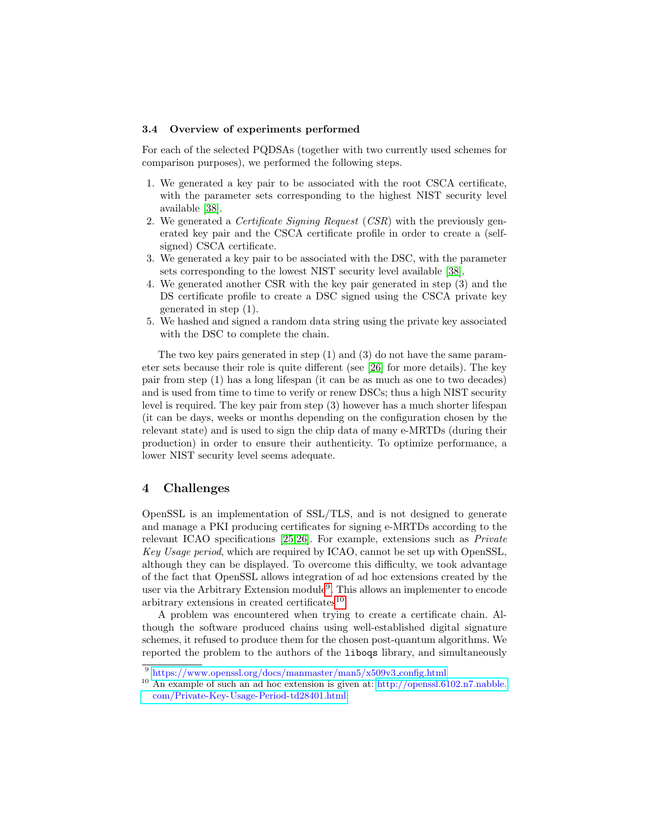## 3.4 Overview of experiments performed

For each of the selected PQDSAs (together with two currently used schemes for comparison purposes), we performed the following steps.

- 1. We generated a key pair to be associated with the root CSCA certificate, with the parameter sets corresponding to the highest NIST security level available [\[38\]](#page-17-15).
- 2. We generated a *Certificate Signing Request* (*CSR*) with the previously generated key pair and the CSCA certificate profile in order to create a (selfsigned) CSCA certificate.
- 3. We generated a key pair to be associated with the DSC, with the parameter sets corresponding to the lowest NIST security level available [\[38\]](#page-17-15).
- 4. We generated another CSR with the key pair generated in step (3) and the DS certificate profile to create a DSC signed using the CSCA private key generated in step (1).
- 5. We hashed and signed a random data string using the private key associated with the DSC to complete the chain.

The two key pairs generated in step  $(1)$  and  $(3)$  do not have the same parameter sets because their role is quite different (see [\[26\]](#page-16-5) for more details). The key pair from step (1) has a long lifespan (it can be as much as one to two decades) and is used from time to time to verify or renew DSCs; thus a high NIST security level is required. The key pair from step (3) however has a much shorter lifespan (it can be days, weeks or months depending on the configuration chosen by the relevant state) and is used to sign the chip data of many e-MRTDs (during their production) in order to ensure their authenticity. To optimize performance, a lower NIST security level seems adequate.

## <span id="page-8-0"></span>4 Challenges

OpenSSL is an implementation of SSL/TLS, and is not designed to generate and manage a PKI producing certificates for signing e-MRTDs according to the relevant ICAO specifications [\[25](#page-16-7)[,26\]](#page-16-5). For example, extensions such as Private Key Usage period, which are required by ICAO, cannot be set up with OpenSSL, although they can be displayed. To overcome this difficulty, we took advantage of the fact that OpenSSL allows integration of ad hoc extensions created by the user via the Arbitrary Extension module<sup>[9](#page-8-1)</sup>. This allows an implementer to encode arbitrary extensions in created certificates $^{10}$  $^{10}$  $^{10}$ .

A problem was encountered when trying to create a certificate chain. Although the software produced chains using well-established digital signature schemes, it refused to produce them for the chosen post-quantum algorithms. We reported the problem to the authors of the liboqs library, and simultaneously

<span id="page-8-1"></span><sup>9</sup> [https://www.openssl.org/docs/manmaster/man5/x509v3](https://www.openssl.org/docs/manmaster/man5/x509v3_config.html) config.html

<span id="page-8-2"></span> $10$  An example of such an ad hoc extension is given at: [http://openssl.6102.n7.nabble.](http://openssl.6102.n7.nabble.com/Private-Key-Usage-Period-td28401.html) [com/Private-Key-Usage-Period-td28401.html](http://openssl.6102.n7.nabble.com/Private-Key-Usage-Period-td28401.html)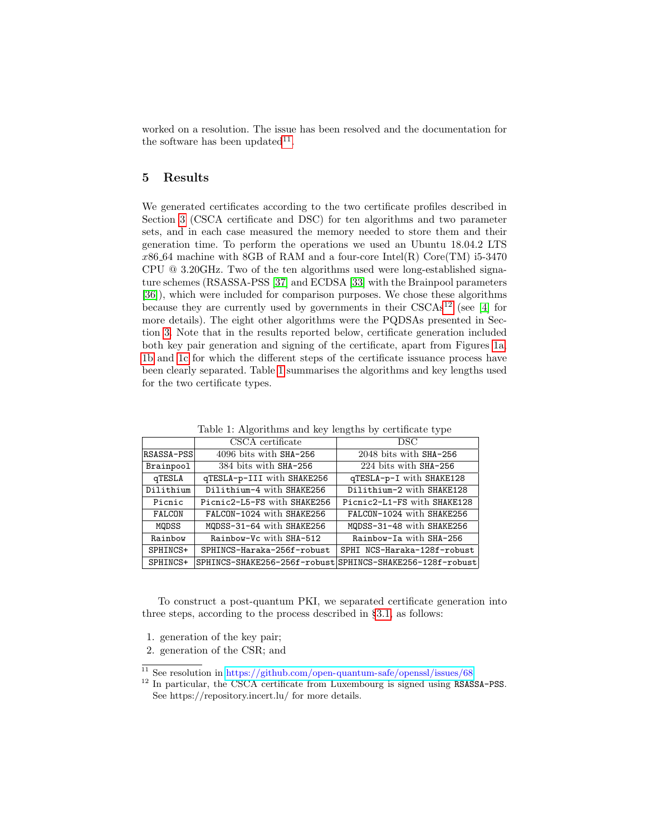worked on a resolution. The issue has been resolved and the documentation for the software has been updated<sup>[11](#page-9-1)</sup>.

## <span id="page-9-0"></span>5 Results

We generated certificates according to the two certificate profiles described in Section [3](#page-6-0) (CSCA certificate and DSC) for ten algorithms and two parameter sets, and in each case measured the memory needed to store them and their generation time. To perform the operations we used an Ubuntu 18.04.2 LTS  $x86.64$  machine with  $8GB$  of RAM and a four-core Intel(R) Core(TM) i5-3470 CPU @ 3.20GHz. Two of the ten algorithms used were long-established signature schemes (RSASSA-PSS [\[37\]](#page-17-16) and ECDSA [\[33\]](#page-17-17) with the Brainpool parameters [\[36\]](#page-17-18)), which were included for comparison purposes. We chose these algorithms because they are currently used by governments in their  $\text{CSCAs}^{12}$  $\text{CSCAs}^{12}$  $\text{CSCAs}^{12}$  (see [\[4\]](#page-15-0) for more details). The eight other algorithms were the PQDSAs presented in Section [3.](#page-6-0) Note that in the results reported below, certificate generation included both key pair generation and signing of the certificate, apart from Figures [1a,](#page-11-0) [1b](#page-11-0) and [1c](#page-11-0) for which the different steps of the certificate issuance process have been clearly separated. Table [1](#page-9-3) summarises the algorithms and key lengths used for the two certificate types.

<span id="page-9-3"></span>

|            | CSCA certificate            | $_{\mathrm{DSC}}$                                         |
|------------|-----------------------------|-----------------------------------------------------------|
| RSASSA-PSS | 4096 bits with SHA-256      | 2048 bits with SHA-256                                    |
| Brainpool  | 384 bits with SHA-256       | 224 bits with SHA-256                                     |
| qTESLA     | qTESLA-p-III with SHAKE256  | qTESLA-p-I with SHAKE128                                  |
| Dilithium  | Dilithium-4 with SHAKE256   | Dilithium-2 with SHAKE128                                 |
| Picnic     | Picnic2-L5-FS with SHAKE256 | Picnic2-L1-FS with SHAKE128                               |
| FALCON     | FALCON-1024 with SHAKE256   | FALCON-1024 with SHAKE256                                 |
| MQDSS      | MQDSS-31-64 with SHAKE256   | MQDSS-31-48 with SHAKE256                                 |
| Rainbow    | Rainbow-Vc with SHA-512     | Rainbow-Ia with SHA-256                                   |
| SPHINCS+   | SPHINCS-Haraka-256f-robust  | SPHI NCS-Haraka-128f-robust                               |
| SPHINCS+   |                             | SPHINCS-SHAKE256-256f-robust SPHINCS-SHAKE256-128f-robust |
|            |                             |                                                           |

Table 1: Algorithms and key lengths by certificate type

To construct a post-quantum PKI, we separated certificate generation into three steps, according to the process described in §[3.1,](#page-6-2) as follows:

- 1. generation of the key pair;
- 2. generation of the CSR; and

<span id="page-9-1"></span><sup>&</sup>lt;sup>11</sup> See resolution in <https://github.com/open-quantum-safe/openssl/issues/68>

<span id="page-9-2"></span> $^{12}$  In particular, the CSCA certificate from Luxembourg is signed using  $\verb|RSASSA-PSS|.$ See https://repository.incert.lu/ for more details.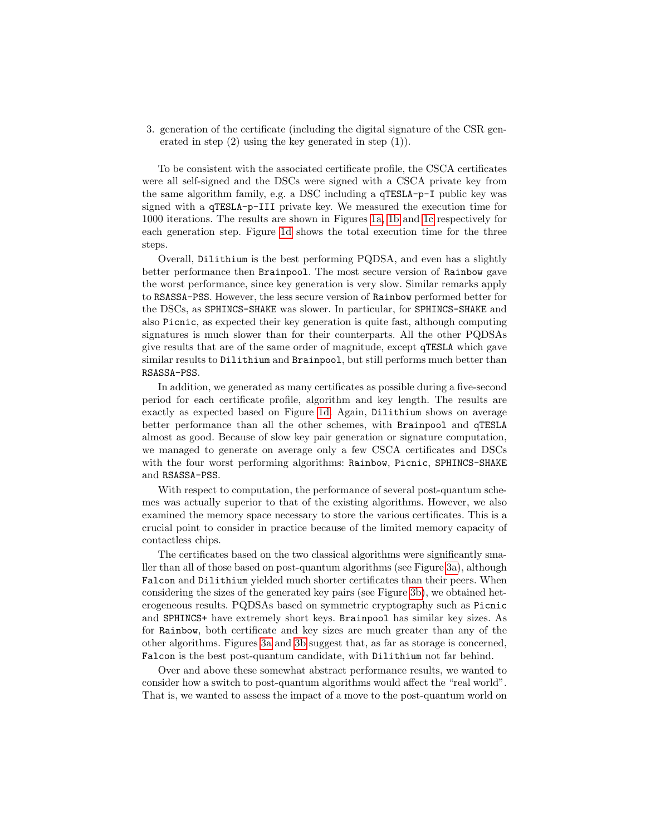3. generation of the certificate (including the digital signature of the CSR generated in step (2) using the key generated in step (1)).

To be consistent with the associated certificate profile, the CSCA certificates were all self-signed and the DSCs were signed with a CSCA private key from the same algorithm family, e.g. a DSC including a qTESLA-p-I public key was signed with a qTESLA-p-III private key. We measured the execution time for 1000 iterations. The results are shown in Figures [1a, 1b](#page-11-0) and [1c](#page-11-0) respectively for each generation step. Figure [1d](#page-11-0) shows the total execution time for the three steps.

Overall, Dilithium is the best performing PQDSA, and even has a slightly better performance then Brainpool. The most secure version of Rainbow gave the worst performance, since key generation is very slow. Similar remarks apply to RSASSA-PSS. However, the less secure version of Rainbow performed better for the DSCs, as SPHINCS-SHAKE was slower. In particular, for SPHINCS-SHAKE and also Picnic, as expected their key generation is quite fast, although computing signatures is much slower than for their counterparts. All the other PQDSAs give results that are of the same order of magnitude, except qTESLA which gave similar results to Dilithium and Brainpool, but still performs much better than RSASSA-PSS.

In addition, we generated as many certificates as possible during a five-second period for each certificate profile, algorithm and key length. The results are exactly as expected based on Figure [1d.](#page-11-0) Again, Dilithium shows on average better performance than all the other schemes, with Brainpool and qTESLA almost as good. Because of slow key pair generation or signature computation, we managed to generate on average only a few CSCA certificates and DSCs with the four worst performing algorithms: Rainbow, Picnic, SPHINCS-SHAKE and RSASSA-PSS.

With respect to computation, the performance of several post-quantum schemes was actually superior to that of the existing algorithms. However, we also examined the memory space necessary to store the various certificates. This is a crucial point to consider in practice because of the limited memory capacity of contactless chips.

The certificates based on the two classical algorithms were significantly smaller than all of those based on post-quantum algorithms (see Figure [3a\)](#page-13-0), although Falcon and Dilithium yielded much shorter certificates than their peers. When considering the sizes of the generated key pairs (see Figure [3b\)](#page-13-0), we obtained heterogeneous results. PQDSAs based on symmetric cryptography such as Picnic and SPHINCS+ have extremely short keys. Brainpool has similar key sizes. As for Rainbow, both certificate and key sizes are much greater than any of the other algorithms. Figures [3a](#page-13-0) and [3b](#page-13-0) suggest that, as far as storage is concerned, Falcon is the best post-quantum candidate, with Dilithium not far behind.

Over and above these somewhat abstract performance results, we wanted to consider how a switch to post-quantum algorithms would affect the "real world". That is, we wanted to assess the impact of a move to the post-quantum world on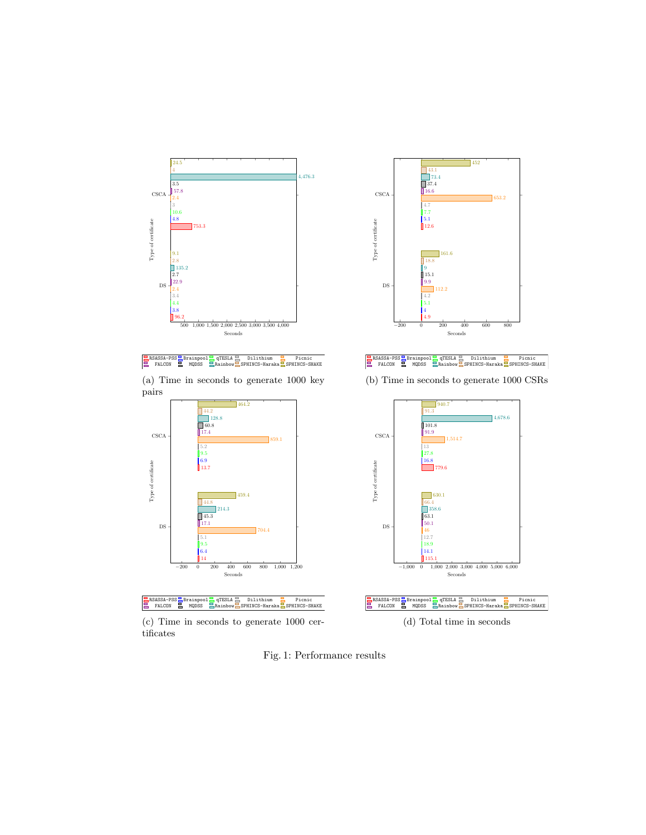<span id="page-11-0"></span>

(c) Time in seconds to generate 1000 certificates

(d) Total time in seconds

Fig. 1: Performance results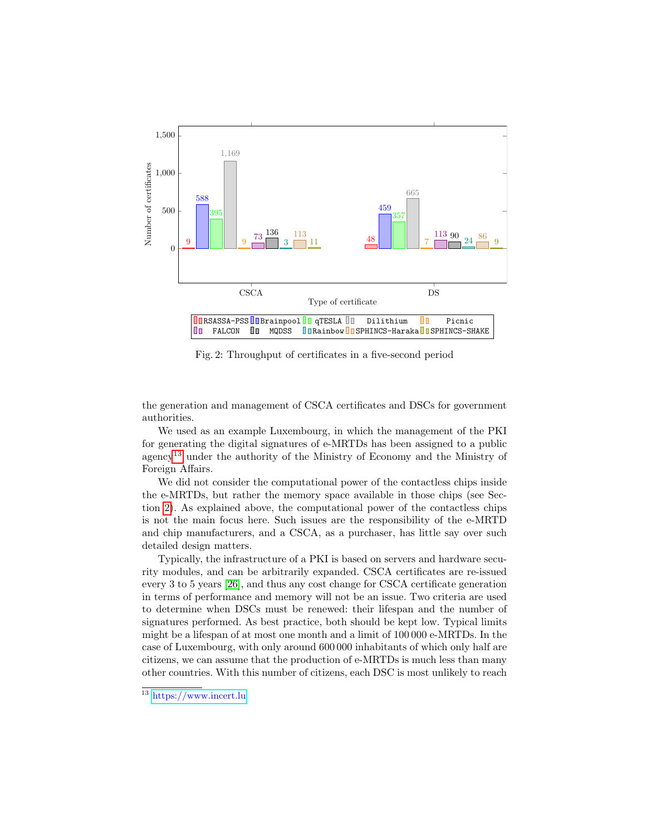

Fig. 2: Throughput of certificates in a five-second period

the generation and management of CSCA certificates and DSCs for government authorities.

We used as an example Luxembourg, in which the management of the PKI for generating the digital signatures of e-MRTDs has been assigned to a public agency<sup>[13](#page-12-0)</sup> under the authority of the Ministry of Economy and the Ministry of Foreign Affairs.

We did not consider the computational power of the contactless chips inside the e-MRTDs, but rather the memory space available in those chips (see Section [2\)](#page-2-0). As explained above, the computational power of the contactless chips is not the main focus here. Such issues are the responsibility of the e-MRTD and chip manufacturers, and a CSCA, as a purchaser, has little say over such detailed design matters.

Typically, the infrastructure of a PKI is based on servers and hardware security modules, and can be arbitrarily expanded. CSCA certificates are re-issued every 3 to 5 years [\[26\]](#page-16-5), and thus any cost change for CSCA certificate generation in terms of performance and memory will not be an issue. Two criteria are used to determine when DSCs must be renewed: their lifespan and the number of signatures performed. As best practice, both should be kept low. Typical limits might be a lifespan of at most one month and a limit of 100 000 e-MRTDs. In the case of Luxembourg, with only around 600 000 inhabitants of which only half are citizens, we can assume that the production of e-MRTDs is much less than many other countries. With this number of citizens, each DSC is most unlikely to reach

<span id="page-12-0"></span> $\overline{13}$  <https://www.incert.lu>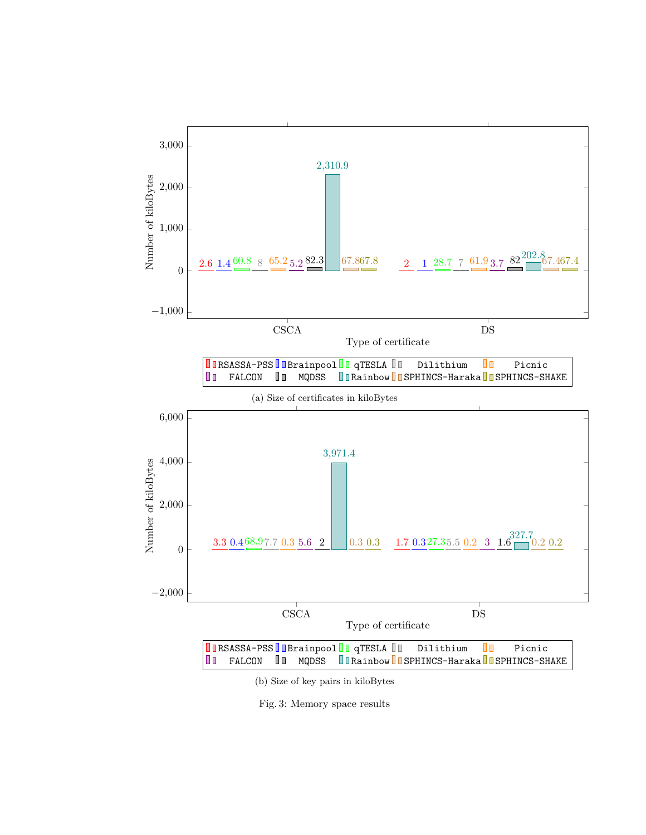<span id="page-13-0"></span>

Fig. 3: Memory space results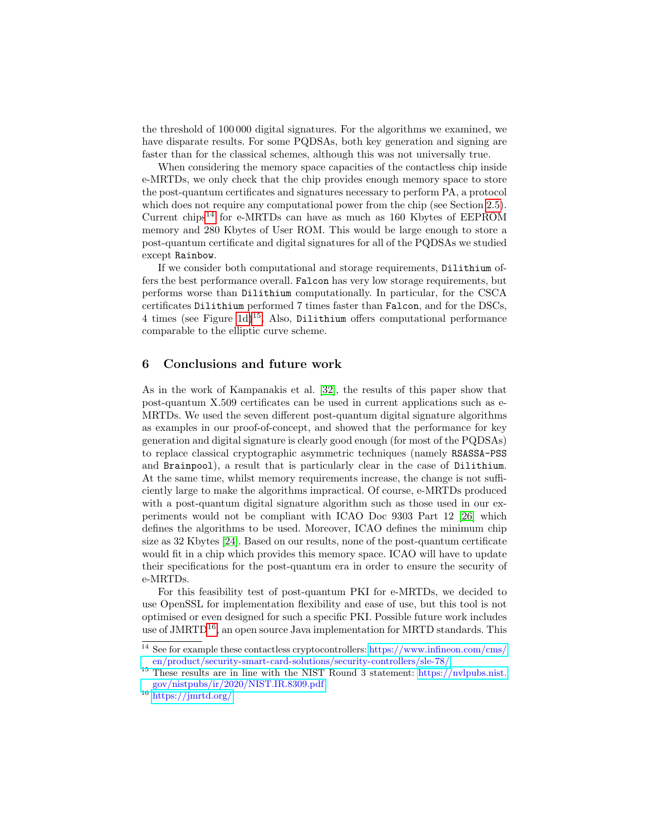the threshold of 100 000 digital signatures. For the algorithms we examined, we have disparate results. For some PQDSAs, both key generation and signing are faster than for the classical schemes, although this was not universally true.

When considering the memory space capacities of the contactless chip inside e-MRTDs, we only check that the chip provides enough memory space to store the post-quantum certificates and signatures necessary to perform PA, a protocol which does not require any computational power from the chip (see Section [2.5\)](#page-4-1). Current chips[14](#page-14-1) for e-MRTDs can have as much as 160 Kbytes of EEPROM memory and 280 Kbytes of User ROM. This would be large enough to store a post-quantum certificate and digital signatures for all of the PQDSAs we studied except Rainbow.

If we consider both computational and storage requirements, Dilithium offers the best performance overall. Falcon has very low storage requirements, but performs worse than Dilithium computationally. In particular, for the CSCA certificates Dilithium performed 7 times faster than Falcon, and for the DSCs, 4 times (see Figure  $1d$ )<sup>[15](#page-14-2)</sup>. Also, Dilithium offers computational performance comparable to the elliptic curve scheme.

# <span id="page-14-0"></span>6 Conclusions and future work

As in the work of Kampanakis et al. [\[32\]](#page-17-6), the results of this paper show that post-quantum X.509 certificates can be used in current applications such as e-MRTDs. We used the seven different post-quantum digital signature algorithms as examples in our proof-of-concept, and showed that the performance for key generation and digital signature is clearly good enough (for most of the PQDSAs) to replace classical cryptographic asymmetric techniques (namely RSASSA-PSS and Brainpool), a result that is particularly clear in the case of Dilithium. At the same time, whilst memory requirements increase, the change is not sufficiently large to make the algorithms impractical. Of course, e-MRTDs produced with a post-quantum digital signature algorithm such as those used in our experiments would not be compliant with ICAO Doc 9303 Part 12 [\[26\]](#page-16-5) which defines the algorithms to be used. Moreover, ICAO defines the minimum chip size as 32 Kbytes [\[24\]](#page-16-8). Based on our results, none of the post-quantum certificate would fit in a chip which provides this memory space. ICAO will have to update their specifications for the post-quantum era in order to ensure the security of e-MRTDs.

For this feasibility test of post-quantum PKI for e-MRTDs, we decided to use OpenSSL for implementation flexibility and ease of use, but this tool is not optimised or even designed for such a specific PKI. Possible future work includes use of  $JMRTD^{16}$  $JMRTD^{16}$  $JMRTD^{16}$ , an open source Java implementation for MRTD standards. This

<span id="page-14-1"></span><sup>&</sup>lt;sup>14</sup> See for example these contactless cryptocontrollers:  $\frac{https://www.infineon.com/cms}{https://www.infineon.com/cms}/$ [en/product/security-smart-card-solutions/security-controllers/sle-78/.](https://www.infineon.com/cms/en/product/security-smart-card-solutions/security-controllers/sle-78/)

<span id="page-14-2"></span><sup>&</sup>lt;sup>15</sup> These results are in line with the NIST Round 3 statement: [https://nvlpubs.nist.](https://nvlpubs.nist.gov/nistpubs/ir/2020/NIST.IR.8309.pdf) [gov/nistpubs/ir/2020/NIST.IR.8309.pdf.](https://nvlpubs.nist.gov/nistpubs/ir/2020/NIST.IR.8309.pdf)

<span id="page-14-3"></span><sup>16</sup> <https://jmrtd.org/>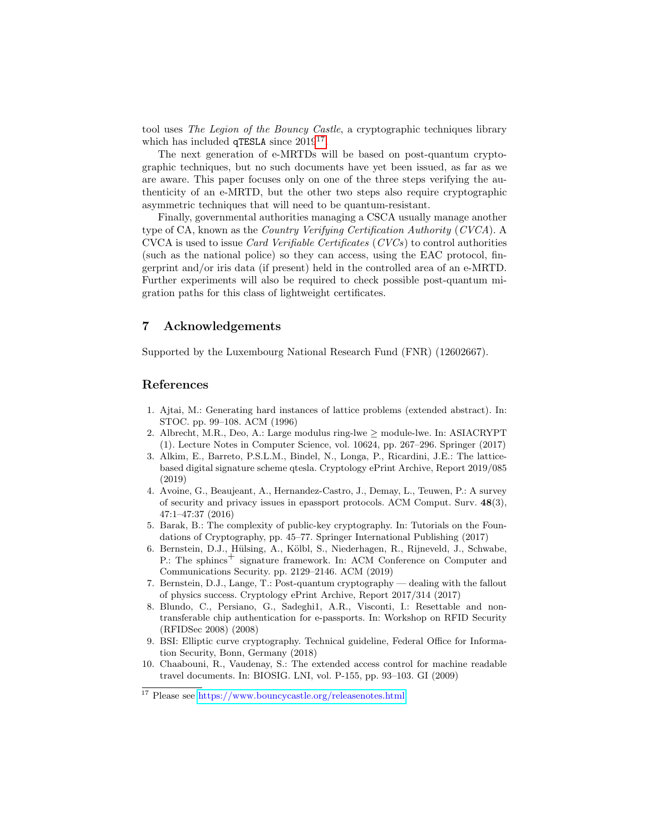tool uses The Legion of the Bouncy Castle, a cryptographic techniques library which has included  $q$ TESLA since  $2019^{17}$  $2019^{17}$  $2019^{17}$ .

The next generation of e-MRTDs will be based on post-quantum cryptographic techniques, but no such documents have yet been issued, as far as we are aware. This paper focuses only on one of the three steps verifying the authenticity of an e-MRTD, but the other two steps also require cryptographic asymmetric techniques that will need to be quantum-resistant.

Finally, governmental authorities managing a CSCA usually manage another type of CA, known as the Country Verifying Certification Authority (CVCA). A CVCA is used to issue Card Verifiable Certificates  $(CVCs)$  to control authorities (such as the national police) so they can access, using the EAC protocol, fingerprint and/or iris data (if present) held in the controlled area of an e-MRTD. Further experiments will also be required to check possible post-quantum migration paths for this class of lightweight certificates.

# 7 Acknowledgements

Supported by the Luxembourg National Research Fund (FNR) (12602667).

# References

- <span id="page-15-8"></span>1. Ajtai, M.: Generating hard instances of lattice problems (extended abstract). In: STOC. pp. 99–108. ACM (1996)
- <span id="page-15-7"></span>2. Albrecht, M.R., Deo, A.: Large modulus ring-lwe ≥ module-lwe. In: ASIACRYPT (1). Lecture Notes in Computer Science, vol. 10624, pp. 267–296. Springer (2017)
- <span id="page-15-6"></span>3. Alkim, E., Barreto, P.S.L.M., Bindel, N., Longa, P., Ricardini, J.E.: The latticebased digital signature scheme qtesla. Cryptology ePrint Archive, Report 2019/085 (2019)
- <span id="page-15-0"></span>4. Avoine, G., Beaujeant, A., Hernandez-Castro, J., Demay, L., Teuwen, P.: A survey of security and privacy issues in epassport protocols. ACM Comput. Surv. 48(3), 47:1–47:37 (2016)
- <span id="page-15-3"></span>5. Barak, B.: The complexity of public-key cryptography. In: Tutorials on the Foundations of Cryptography, pp. 45–77. Springer International Publishing (2017)
- <span id="page-15-9"></span>6. Bernstein, D.J., Hülsing, A., Kölbl, S., Niederhagen, R., Rijneveld, J., Schwabe, P.: The sphincs<sup>+</sup> signature framework. In: ACM Conference on Computer and Communications Security. pp. 2129–2146. ACM (2019)
- <span id="page-15-2"></span>7. Bernstein, D.J., Lange, T.: Post-quantum cryptography — dealing with the fallout of physics success. Cryptology ePrint Archive, Report 2017/314 (2017)
- <span id="page-15-5"></span>8. Blundo, C., Persiano, G., Sadeghi1, A.R., Visconti, I.: Resettable and nontransferable chip authentication for e-passports. In: Workshop on RFID Security (RFIDSec 2008) (2008)
- <span id="page-15-4"></span>9. BSI: Elliptic curve cryptography. Technical guideline, Federal Office for Information Security, Bonn, Germany (2018)
- <span id="page-15-1"></span>10. Chaabouni, R., Vaudenay, S.: The extended access control for machine readable travel documents. In: BIOSIG. LNI, vol. P-155, pp. 93–103. GI (2009)

<span id="page-15-10"></span><sup>&</sup>lt;sup>17</sup> Please see [https://www.bouncycastle.org/releasenotes.html.](https://www.bouncycastle.org/releasenotes.html)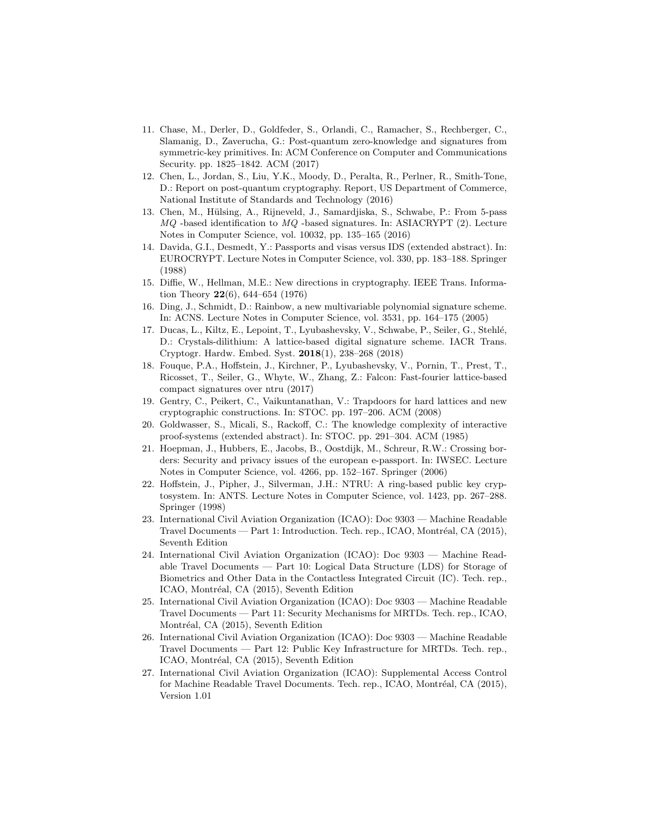- <span id="page-16-10"></span>11. Chase, M., Derler, D., Goldfeder, S., Orlandi, C., Ramacher, S., Rechberger, C., Slamanig, D., Zaverucha, G.: Post-quantum zero-knowledge and signatures from symmetric-key primitives. In: ACM Conference on Computer and Communications Security. pp. 1825–1842. ACM (2017)
- <span id="page-16-3"></span>12. Chen, L., Jordan, S., Liu, Y.K., Moody, D., Peralta, R., Perlner, R., Smith-Tone, D.: Report on post-quantum cryptography. Report, US Department of Commerce, National Institute of Standards and Technology (2016)
- <span id="page-16-15"></span>13. Chen, M., Hülsing, A., Rijneveld, J., Samardjiska, S., Schwabe, P.: From 5-pass  $MQ$  -based identification to  $MQ$  -based signatures. In: ASIACRYPT (2). Lecture Notes in Computer Science, vol. 10032, pp. 135–165 (2016)
- <span id="page-16-0"></span>14. Davida, G.I., Desmedt, Y.: Passports and visas versus IDS (extended abstract). In: EUROCRYPT. Lecture Notes in Computer Science, vol. 330, pp. 183–188. Springer (1988)
- <span id="page-16-4"></span>15. Diffie, W., Hellman, M.E.: New directions in cryptography. IEEE Trans. Information Theory  $22(6)$ , 644–654 (1976)
- <span id="page-16-16"></span>16. Ding, J., Schmidt, D.: Rainbow, a new multivariable polynomial signature scheme. In: ACNS. Lecture Notes in Computer Science, vol. 3531, pp. 164–175 (2005)
- <span id="page-16-9"></span>17. Ducas, L., Kiltz, E., Lepoint, T., Lyubashevsky, V., Schwabe, P., Seiler, G., Stehl´e, D.: Crystals-dilithium: A lattice-based digital signature scheme. IACR Trans. Cryptogr. Hardw. Embed. Syst. 2018(1), 238–268 (2018)
- <span id="page-16-12"></span>18. Fouque, P.A., Hoffstein, J., Kirchner, P., Lyubashevsky, V., Pornin, T., Prest, T., Ricosset, T., Seiler, G., Whyte, W., Zhang, Z.: Falcon: Fast-fourier lattice-based compact signatures over ntru (2017)
- <span id="page-16-13"></span>19. Gentry, C., Peikert, C., Vaikuntanathan, V.: Trapdoors for hard lattices and new cryptographic constructions. In: STOC. pp. 197–206. ACM (2008)
- <span id="page-16-11"></span>20. Goldwasser, S., Micali, S., Rackoff, C.: The knowledge complexity of interactive proof-systems (extended abstract). In: STOC. pp. 291–304. ACM (1985)
- <span id="page-16-2"></span>21. Hoepman, J., Hubbers, E., Jacobs, B., Oostdijk, M., Schreur, R.W.: Crossing borders: Security and privacy issues of the european e-passport. In: IWSEC. Lecture Notes in Computer Science, vol. 4266, pp. 152–167. Springer (2006)
- <span id="page-16-14"></span>22. Hoffstein, J., Pipher, J., Silverman, J.H.: NTRU: A ring-based public key cryptosystem. In: ANTS. Lecture Notes in Computer Science, vol. 1423, pp. 267–288. Springer (1998)
- <span id="page-16-1"></span>23. International Civil Aviation Organization (ICAO): Doc 9303 — Machine Readable Travel Documents — Part 1: Introduction. Tech. rep., ICAO, Montréal, CA (2015), Seventh Edition
- <span id="page-16-8"></span>24. International Civil Aviation Organization (ICAO): Doc 9303 — Machine Readable Travel Documents — Part 10: Logical Data Structure (LDS) for Storage of Biometrics and Other Data in the Contactless Integrated Circuit (IC). Tech. rep., ICAO, Montréal, CA (2015), Seventh Edition
- <span id="page-16-7"></span>25. International Civil Aviation Organization (ICAO): Doc 9303 — Machine Readable Travel Documents — Part 11: Security Mechanisms for MRTDs. Tech. rep., ICAO, Montréal, CA (2015), Seventh Edition
- <span id="page-16-5"></span>26. International Civil Aviation Organization (ICAO): Doc 9303 — Machine Readable Travel Documents — Part 12: Public Key Infrastructure for MRTDs. Tech. rep., ICAO, Montréal, CA (2015), Seventh Edition
- <span id="page-16-6"></span>27. International Civil Aviation Organization (ICAO): Supplemental Access Control for Machine Readable Travel Documents. Tech. rep., ICAO, Montréal, CA (2015), Version 1.01